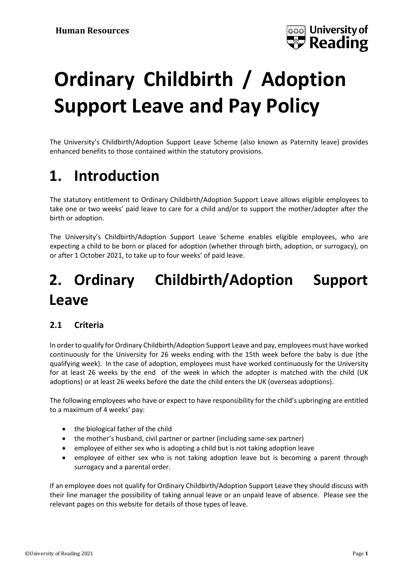

# **Ordinary Childbirth / Adoption Support Leave and Pay Policy**

The University's Childbirth/Adoption Support Leave Scheme (also known as Paternity leave) provides enhanced benefits to those contained within the statutory provisions.

### **1. Introduction**

The statutory entitlement to Ordinary Childbirth/Adoption Support Leave allows eligible employees to take one or two weeks' paid leave to care for a child and/or to support the mother/adopter after the birth or adoption.

The University's Childbirth/Adoption Support Leave Scheme enables eligible employees, who are expecting a child to be born or placed for adoption (whether through birth, adoption, or surrogacy), on or after 1 October 2021, to take up to four weeks' of paid leave.

### **2. Ordinary Childbirth/Adoption Support Leave**

#### **2.1 Criteria**

In order to qualify for Ordinary Childbirth/Adoption Support Leave and pay, employees must have worked continuously for the University for 26 weeks ending with the 15th week before the baby is due (the qualifying week). In the case of adoption, employees must have worked continuously for the University for at least 26 weeks by the end of the week in which the adopter is matched with the child (UK adoptions) or at least 26 weeks before the date the child enters the UK (overseas adoptions).

The following employees who have or expect to have responsibility for the child's upbringing are entitled to a maximum of 4 weeks' pay:

- the biological father of the child
- the mother's husband, civil partner or partner (including same-sex partner)
- employee of either sex who is adopting a child but is not taking adoption leave
- employee of either sex who is not taking adoption leave but is becoming a parent through surrogacy and a parental order.

If an employee does not qualify for Ordinary Childbirth/Adoption Support Leave they should discuss with their line manager the possibility of taking annual leave or an unpaid leave of absence. Please see the relevant pages on this website for details of those types of leave.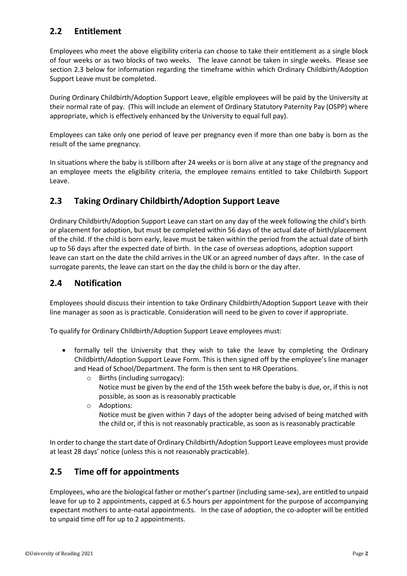#### **2.2 Entitlement**

Employees who meet the above eligibility criteria can choose to take their entitlement as a single block of four weeks or as two blocks of two weeks. The leave cannot be taken in single weeks. Please see section 2.3 below for information regarding the timeframe within which Ordinary Childbirth/Adoption Support Leave must be completed.

During Ordinary Childbirth/Adoption Support Leave, eligible employees will be paid by the University at their normal rate of pay. (This will include an element of Ordinary Statutory Paternity Pay (OSPP) where appropriate, which is effectively enhanced by the University to equal full pay).

Employees can take only one period of leave per pregnancy even if more than one baby is born as the result of the same pregnancy.

In situations where the baby is stillborn after 24 weeks or is born alive at any stage of the pregnancy and an employee meets the eligibility criteria, the employee remains entitled to take Childbirth Support Leave.

#### **2.3 Taking Ordinary Childbirth/Adoption Support Leave**

Ordinary Childbirth/Adoption Support Leave can start on any day of the week following the child's birth or placement for adoption, but must be completed within 56 days of the actual date of birth/placement of the child. If the child is born early, leave must be taken within the period from the actual date of birth up to 56 days after the expected date of birth. In the case of overseas adoptions, adoption support leave can start on the date the child arrives in the UK or an agreed number of days after. In the case of surrogate parents, the leave can start on the day the child is born or the day after.

#### **2.4 Notification**

Employees should discuss their intention to take Ordinary Childbirth/Adoption Support Leave with their line manager as soon as is practicable. Consideration will need to be given to cover if appropriate.

To qualify for Ordinary Childbirth/Adoption Support Leave employees must:

- formally tell the University that they wish to take the leave by completing the Ordinary Childbirth/Adoption Support Leave Form. This is then signed off by the employee's line manager and Head of School/Department. The form is then sent to HR Operations.
	- o Births (including surrogacy): Notice must be given by the end of the 15th week before the baby is due, or, if this is not possible, as soon as is reasonably practicable
	- o Adoptions: Notice must be given within 7 days of the adopter being advised of being matched with the child or, if this is not reasonably practicable, as soon as is reasonably practicable

In order to change the start date of Ordinary Childbirth/Adoption Support Leave employees must provide at least 28 days' notice (unless this is not reasonably practicable).

#### **2.5 Time off for appointments**

Employees, who are the biological father or mother's partner (including same-sex), are entitled to unpaid leave for up to 2 appointments, capped at 6.5 hours per appointment for the purpose of accompanying expectant mothers to ante-natal appointments. In the case of adoption, the co-adopter will be entitled to unpaid time off for up to 2 appointments.